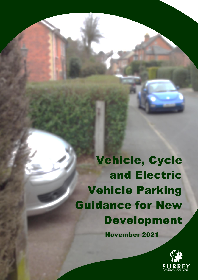Vehicle, Cycle and Electric Vehicle Parking Guidance for New Development

November 2021

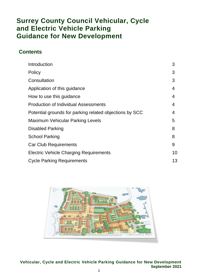# **Surrey County Council Vehicular, Cycle and Electric Vehicle Parking Guidance for New Development**

## **Contents**

| Introduction                                            | 3  |
|---------------------------------------------------------|----|
| Policy                                                  | 3  |
| Consultation                                            | 3  |
| Application of this guidance                            | 4  |
| How to use this guidance                                | 4  |
| <b>Production of Individual Assessments</b>             | 4  |
| Potential grounds for parking related objections by SCC | 4  |
| <b>Maximum Vehicular Parking Levels</b>                 | 5  |
| <b>Disabled Parking</b>                                 | 8  |
| <b>School Parking</b>                                   | 8  |
| <b>Car Club Requirements</b>                            | 9  |
| <b>Electric Vehicle Charging Requirements</b>           | 10 |
| <b>Cycle Parking Requirements</b>                       | 13 |

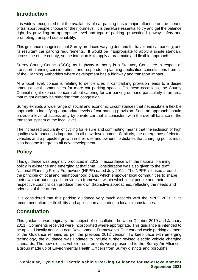## **Introduction**

It is widely recognised that the availability of car parking has a major influence on the means of transport people choose for their journeys. It is therefore essential to try and get the balance right, by providing an appropriate level and type of parking, protecting highway safety and promoting transport sustainability.

This guidance recognises that Surrey produces varying demand for travel and car parking, and its resultant car parking requirements. It would be inappropriate to apply a single standard across the entire county, so the intention is to apply a pragmatic and flexible approach.

Surrey County Council (SCC), as Highway Authority is a Statutory Consultee in respect of transport planning considerations and responds to planning application consultations from all of the Planning Authorities where development has a highway and transport impact.

At a local level, concerns relating to deficiencies in car parking provision leads to a desire amongst local communities for more car parking spaces. On these occasions, the County Council might express concern about catering for car parking demand particularly in an area that might already be suffering from congestion.

Surrey exhibits a wide range of social and economic circumstances that necessitate a flexible approach to identifying appropriate levels of car parking provision. Such an approach should provide a level of accessibility by private car that is consistent with the overall balance of the transport system at the local level.

The increased popularity of cycling for leisure and commuting means that the inclusion of high quality cycle parking is important in all new development. Similarly, the emergence of electric vehicles and a projected growth in their use and ownership dictates that charging points must also become integral to all new development.

## **Policy**

This guidance was originally produced in 2012 in accordance with the national planning policy in existence and emerging at that time. Consideration was also given to the draft National Planning Policy Framework (NPPF) dated July 2011. The NPPF is based around the principle of local and neighbourhood plans, which empower local communities to shape their own surroundings. It provides a framework within which local people and their respective councils can produce their own distinctive approaches, reflecting the needs and priorities of their areas.

It is considered that this parking quidance very much accords with the NPPF 2021 in its recommendation for flexibility and application according to local circumstances.

# **Consultation**

This guidance was originally the subject of consultation between October 2010 and January 2011. Comments received were incorporated where appropriate. This guidance is intended to be applied locally and via Local Development Frameworks. The car and cycle parking element of the Guidance remains as per the previous 2012 version. To keep pace with emerging technology, the guidance was updated to include further revised electric vehicle charging standards. The new electric vehicle requirements were presented to the 'Surrey Air Alliance', a group made up of Environmental Health Officers from Surrey districts and boroughs.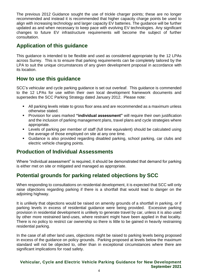The previous 2012 Guidance sought the use of trickle charger points; these are no longer recommended and instead it is recommended that higher capacity charge points be used to align with increasing technology and larger capacity EV batteries. The guidance will be further updated as and when necessary to keep pace with evolving EV technologies. Any significant changes to future EV infrastructure requirements will become the subject of further consultation.

# **Application of this guidance**

This guidance is intended to be flexible and used as considered appropriate by the 12 LPAs across Surrey. This is to ensure that parking requirements can be completely tailored by the LPA to suit the unique circumstances of any given development proposal in accordance with its location.

## **How to use this guidance**

SCC's vehicular and cycle parking guidance is set out overleaf. This guidance is commended to the 12 LPAs for use within their own local development framework documents and supersedes the SCC Parking Strategy dated January 2012. Please note:

- All parking levels relate to gross floor area and are recommended as a maximum unless otherwise stated.
- **EXT** Provision for uses marked "individual assessment" will require their own justification and the inclusion of parking management plans, travel plans and cycle strategies where appropriate.
- Levels of parking per member of staff (full time equivalent) should be calculated using the average of those employed on site at any one time.
- Guidance is also provided regarding disabled parking, school parking, car clubs and electric vehicle charging points.

## **Production of Individual Assessments**

Where "individual assessment" is required, it should be demonstrated that demand for parking is either met on site or mitigated and managed as appropriate.

# **Potential grounds for parking related objections by SCC**

When responding to consultations on residential development, it is expected that SCC will only raise objections regarding parking if there is a shortfall that would lead to danger on the adjoining highway.

It is unlikely that objections would be raised on amenity grounds of a shortfall in parking, or if parking levels in excess of residential guidance were being provided. Excessive parking provision in residential development is unlikely to generate travel by car, unless it is also used by other more restrained land-uses, where restraint might have been applied in that locality. There is no policy to restrict car ownership so there is little to be gained in heavily restraining residential parking.

In the case of all other land uses, objections might be raised to parking levels being proposed in excess of the guidance on policy grounds. Parking proposed at levels below the maximum standard will not be objected to, other than in exceptional circumstances where there are significant implications for road safety.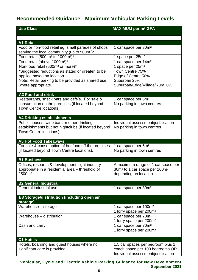# **Recommended Guidance - Maximum Vehicular Parking Levels**

| <b>Use Class</b>                                                                                              | <b>MAXIMUM per m<sup>2</sup> GFA</b>                  |
|---------------------------------------------------------------------------------------------------------------|-------------------------------------------------------|
|                                                                                                               |                                                       |
| <b>A1 Retail</b>                                                                                              |                                                       |
| Food or non-food retail eg: small parades of shops<br>serving the local community (up to 500m <sup>2</sup> )* | 1 car space per 30m <sup>2</sup>                      |
| Food retail (500 m <sup>2</sup> to 1000m <sup>2</sup> )*                                                      | 1 space per 25m <sup>2</sup>                          |
| Food retail (above 1000m <sup>2</sup> )*                                                                      | 1 car space per 14m <sup>2</sup>                      |
| Non-food retail (500m <sup>2</sup> or more)*                                                                  | 1 space per 25m <sup>2</sup>                          |
| *Suggested reductions as stated or greater, to be                                                             | Town Centre 75%                                       |
| applied based on location.                                                                                    | Edge of Centre 50%                                    |
| Note: Retail parking to be provided as shared use                                                             | Suburban 25%                                          |
| where appropriate.                                                                                            | Suburban/Edge/Village/Rural 0%                        |
|                                                                                                               |                                                       |
| <b>A3 Food and drink</b>                                                                                      |                                                       |
| Restaurants, snack bars and café's. For sale &                                                                | 1 car space per 6m <sup>2</sup>                       |
| consumption on the premises (if located beyond                                                                | No parking in town centres                            |
| Town Centre locations).                                                                                       |                                                       |
|                                                                                                               |                                                       |
| <b>A4 Drinking establishments</b>                                                                             |                                                       |
| Public houses, wine bars or other drinking                                                                    | Individual assessment/justification                   |
| establishments but not nightclubs (if located beyond                                                          | No parking in town centres                            |
| Town Centre locations).                                                                                       |                                                       |
|                                                                                                               |                                                       |
| <b>A5 Hot Food Takeaways</b>                                                                                  |                                                       |
| For sale & consumption of hot food off the premises                                                           | 1 car space per 6m <sup>2</sup>                       |
| (if located beyond Town Centre locations).                                                                    | No parking in town centres                            |
| <b>B1 Business</b>                                                                                            |                                                       |
|                                                                                                               |                                                       |
| Offices, research & development, light industry<br>appropriate in a residential area - threshold of           | A maximum range of 1 car space per                    |
| 2500m <sup>2</sup>                                                                                            | 30m <sup>2</sup> to 1 car space per 100m <sup>2</sup> |
|                                                                                                               | depending on location                                 |
| <b>B2 General Industrial</b>                                                                                  |                                                       |
| General industrial use                                                                                        | 1 car space per 30m <sup>2</sup>                      |
|                                                                                                               |                                                       |
| <b>B8 Storage/distribution (including open air</b>                                                            |                                                       |
| storage)                                                                                                      |                                                       |
| Warehouse - storage                                                                                           | 1 car space per 100m <sup>2</sup>                     |
|                                                                                                               | 1 lorry space per 200m <sup>2</sup>                   |
| Warehouse - distribution                                                                                      | 1 car space per 70m <sup>2</sup>                      |
|                                                                                                               | 1 lorry space per 200m <sup>2</sup>                   |
| Cash and carry                                                                                                | 1 car space per 70m <sup>2</sup>                      |
|                                                                                                               | 1 lorry space per 200m <sup>2</sup>                   |
|                                                                                                               |                                                       |
| <b>C1 Hotels</b>                                                                                              |                                                       |
| Hotels, boarding and guest houses where no                                                                    | 1.5 car spaces per bedroom plus 1                     |
| significant care is provided                                                                                  | coach space per 100 bedrooms OR                       |
|                                                                                                               | Individual assessment/justification                   |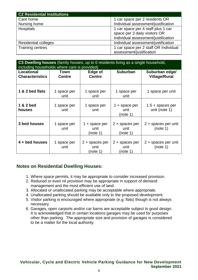| <b>C2 Residential Institutions</b> |                                       |
|------------------------------------|---------------------------------------|
| Care home                          | 1 car space per 2 residents OR        |
| Nursing home                       | Individual assessment/justification   |
| <b>Hospitals</b>                   | 1 car space per 4 staff plus 1 car    |
|                                    | space per 3 daily visitors OR         |
|                                    | Individual assessment/justification   |
| <b>Residential colleges</b>        | Individual assessment/justification   |
| Training centres                   | 1 car space per 2 staff OR Individual |
|                                    | assessment/justification              |

| C3 Dwelling houses (family houses, up to 6 residents living as a single household,<br>including households where care is provided) |                       |                                      |                                    |                                        |
|------------------------------------------------------------------------------------------------------------------------------------|-----------------------|--------------------------------------|------------------------------------|----------------------------------------|
| Locational<br><b>Characteristics</b>                                                                                               | Town<br><b>Centre</b> | Edge of<br><b>Centre</b>             | <b>Suburban</b>                    | Suburban edge/<br><b>Village/Rural</b> |
| 1 & 2 bed flats                                                                                                                    | 1 space per<br>unit   | 1 space per<br>unit                  | 1 space per<br>unit                | 1 space per unit                       |
| 1 & 2 bed<br>houses                                                                                                                | 1 space per<br>unit   | 1 space per<br>unit                  | 1 + space per<br>unit<br>(note 1)  | $1.5 +$ spaces per<br>unit (note 1)    |
| 3 bed houses                                                                                                                       | 1 space per<br>unit   | 1 + space per<br>unit<br>(note 1)    | 2 + spaces per<br>unit<br>(note 1) | 2 + spaces per unit<br>(note 1)        |
| 4 + bed houses                                                                                                                     | 1 space per<br>unit   | $2 +$ spaces per<br>unit<br>(note 1) | 2 + spaces per<br>unit<br>(note 1) | 2 + spaces per unit<br>(note 1)        |

## **Notes on Residential Dwelling Houses:**

- 1. Where space permits, it may be appropriate to consider increased provision.
- 2. Reduced or even nil provision may be appropriate in support of demand management and the most efficient use of land.
- 3. Allocated or unallocated parking may be acceptable where appropriate.
- 4. Unallocated parking should be available only to the proposed development.
- 5. Visitor parking is encouraged where appropriate (e.g: flats) though is not always necessary.
- 6. Garages, open carports and/or car barns are acceptable subject to good design. It is acknowledged that in certain locations garages may be used for purposes other than parking. The appropriate size and provision of garages is considered to be a matter for the local authority.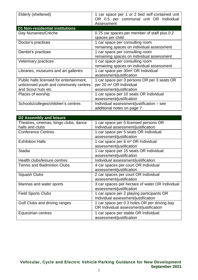| Elderly (sheltered)                                                                                      | 1 car space per 1 or 2 bed self-contained unit<br>OR 0.5 per communal unit OR Individual<br>Assessment         |
|----------------------------------------------------------------------------------------------------------|----------------------------------------------------------------------------------------------------------------|
| D1 Non-residential institutions                                                                          |                                                                                                                |
| Day Nurseries/Crèche                                                                                     | 0.75 car spaces per member of staff plus 0.2<br>spaces per child                                               |
| Doctor's practices                                                                                       | 1 car space per consulting room<br>remaining spaces on individual assessment                                   |
| Dentist's practices                                                                                      | 1 car space per consulting room<br>remaining spaces on individual assessment                                   |
| Veterinary practices                                                                                     | 1 car space per consulting room<br>remaining spaces on individual assessment                                   |
| Libraries, museums and art galleries                                                                     | 1 car space per 30m <sup>2</sup> OR Individual<br>assessment/justification                                     |
| Public halls licensed for entertainment,<br>unlicensed youth and community centres<br>and Scout huts etc | 1 car space per 3 persons OR per 3 seats OR<br>per 20 m <sup>2</sup> OR Individual<br>assessment/justification |
| Places of worship                                                                                        | 1 car space per 10 seats OR Individual<br>assessment/justification                                             |
| Schools/colleges/children's centres                                                                      | Individual assessment/justification - see<br>additional notes on page 7                                        |

| <b>D2 Assembly and leisure</b>        |                                                 |
|---------------------------------------|-------------------------------------------------|
| Theatres, cinemas, bingo clubs, dance | 1 car space per 5 licensed persons OR           |
| halls and clubs                       | Individual assessment/justification             |
| <b>Conference Centres</b>             | 1 car space per 5 seats OR Individual           |
|                                       | assessment/justification                        |
| <b>Exhibition Halls</b>               | 1 car space per 6 m <sup>2</sup> OR Individual  |
|                                       | assessment/justification                        |
| <b>Stadia</b>                         | 1 car space per 15 seats OR individual          |
|                                       | assessment/justification                        |
| Health clubs/leisure centres          | Individual assessment/justification             |
| <b>Tennis and Badminton Clubs</b>     | 4 car spaces per court OR Individual            |
|                                       | assessment/justification                        |
| <b>Squash Clubs</b>                   | 2 car spaces per court OR Individual            |
|                                       | assessment/justification                        |
| Marinas and water sports              | 3 car spaces per hectare of water OR Individual |
|                                       | assessment/justification                        |
| <b>Field Sports Clubs</b>             | 1 car space per 2 playing participants OR       |
|                                       | Individual assessment/justification             |
| Golf Clubs and driving ranges         | 1 car space per 0.3 holes OR per driving bay    |
|                                       | OR Individual assessment/justification          |
| Equestrian centres                    | 1 car space per stable OR Individual            |
|                                       | assessment/justification                        |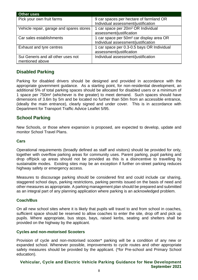| <b>Other uses</b>                        |                                                      |
|------------------------------------------|------------------------------------------------------|
| Pick your own fruit farms                | 9 car spaces per hectare of farmland OR              |
|                                          | Individual assessment/justification                  |
| Vehicle repair, garage and spares stores | 1 car space per 20m <sup>2</sup> OR Individual       |
|                                          | assessment/justification                             |
| Car sales establishments                 | 1 car space per 50m <sup>2</sup> car display area OR |
|                                          | Individual assessment/justification                  |
| Exhaust and tyre centres                 | 1 car space per 0.3-0.5 bays OR Individual           |
|                                          | assessment/justification                             |
| Sui Generis and all other uses not       | Individual assessment/justification                  |
| mentioned above                          |                                                      |

## **Disabled Parking**

Parking for disabled drivers should be designed and provided in accordance with the appropriate government guidance. As a starting point, for non-residential development, an additional 5% of total parking spaces should be allocated for disabled users or a minimum of 1 space per 750m² (whichever is the greater) to meet demand. Such spaces should have dimensions of 3.6m by 5m and be located no further than 50m from an accessible entrance, (ideally the main entrance), clearly signed and under cover. This is in accordance with Department for Transport Traffic Advice Leaflet 5/95.

## **School Parking**

New Schools, or those where expansion is proposed, are expected to develop, update and monitor School Travel Plans.

#### **Cars**

Operational requirements (broadly defined as staff and visitors) should be provided for only, together with overflow parking areas for community uses. Parent parking, pupil parking and drop off/pick up areas should not be provided as this is a disincentive to travelling by sustainable modes. Existing sites may be an exception if further on-street parking reduces highway safety or emergency access.

Measures to discourage parking should be considered first and could include car sharing, staggered school days, parking restrictions, parking permits issued on the basis of need and other measures as appropriate. A parking management plan should be prepared and submitted as an integral part of any planning application where parking is an acknowledged problem.

#### **Coach/Bus**

On all new school sites where it is likely that pupils will travel to and from school in coaches, sufficient space should be reserved to allow coaches to enter the site, drop off and pick up pupils. Where appropriate, bus stops, bays, raised kerbs, seating and shelters shall be provided on the highway by the applicant.

#### **Cycles and non-motorised Scooters**

Provision of cycle and non-motorised scooter\* parking will be a condition of any new or expanded school. Whenever possible, improvements to cycle routes and other appropriate safety measures should be provided by the applicant. (\*for Pre-school and Primary School education).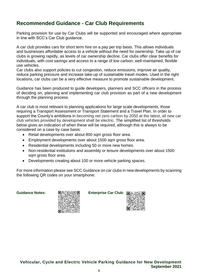# **Recommended Guidance - Car Club Requirements**

Parking provision for use by Car Clubs will be supported and encouraged where appropriate in line with SCC's Car Club guidance.

A car club provides cars for short term hire on a pay per trip basis. This allows individuals and businesses affordable access to a vehicle without the need for ownership. Take up of car clubs is growing rapidly, as levels of car ownership decline. Car clubs offer clear benefits for individuals, with cost savings and access to a range of low carbon, well-maintained, flexible use vehicles.

Car clubs also support policies to cut congestion, reduce emissions, improve air quality, reduce parking pressure and increase take-up of sustainable travel modes. Used in the right locations, car clubs can be a very effective measure to promote sustainable development.

Guidance has been produced to guide developers, planners and SCC officers in the process of deciding on, planning and implementing car club provision as part of a new development through the planning process.

A car club is most relevant to planning applications for large scale developments, those requiring a Transport Assessment or Transport Statement and a Travel Plan. In order to support the County's ambitions in becoming net zero carbon by 2050 at the latest, all new car club vehicles provided by development shall be electric. The simplified list of thresholds below gives an indication of when these will be required, although this is always to be considered on a case by case basis:

- Retail developments over about 800 sqm gross floor area.
- Employment developments over about 1500 sqm gross floor area.
- Residential developments including 50 or more new homes.
- Non-residential institutions and assembly or leisure developments over about 1500 sam gross floor area.
- Developments creating about 100 or more vehicle parking spaces.

For more information please see SCC Guidance on car clubs in new developments by scanning the following QR codes on your smartphone:



**Guidance Notes: 回溯灣游遊回 Enterprise Car Club: 同** 

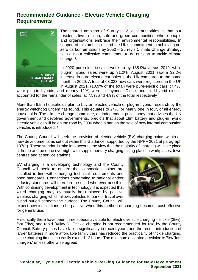# **Recommended Guidance - Electric Vehicle Charging Requirements**



The shared ambition of Surrey's 12 local authorities is that our residents live in clean, safe and green communities, where people and organisations embrace their environmental responsibilities. In support of this ambition – and the UK's commitment to achieving net zero carbon emissions by 2050 – Surrey's Climate Change Strategy sets out our collective commitment to do our part to tackle climate change<sup>1</sup>.

In 2020 pure-electric sales were up by 185.9% versus 2019, while plug-in hybrid sales were up 91.2%. August 2021 saw a 32.2% increase in pure-electric car sales in the UK compared to the same month in 2020. A total of 68,033 new cars were registered in the UK in August 2021, (10.9% of the total) were pure-electric cars, (7.4%)

were plug-in hybrids, and (nearly 12%) were full hybrids. Diesel and mild-hybrid diesels accounted for the remainder of sales, at 7.5% and 4.9% of the total respectively  $2$ .

More than 6.5m households plan to buy an electric vehicle or plug-in hybrid, research by the energy watchdog [Ofgem](https://www.theguardian.com/business/ofgem) has found. This equates to 24%, or nearly one in four, of all energy households. The climate change committee, an independent public body that advises the UK government and devolved governments, predicts that about 18m battery and plug-in hybrid electric vehicles will be on the road by 2030 when a ban on the sale of new internal combustion vehicles is introduced. <sup>3</sup>

The County Council will seek the provision of electric vehicle (EV) charging points within all new developments as set out within this Guidance, supported by the NPPF 2021 at paragraph 107(e). These standards take into account the view that the majority of charging will take place at home and be done overnight with supplementary charging taking place in workplaces, town centres and at service stations.

EV charging is a developing technology and the County Council will seek to ensure that connection points are installed in line with emerging technical requirements and open standards. Connections conforming to national and/or industry standards will therefore be used wherever possible. With continuing development in technology, it is expected that wired charging may eventually be replaced by passive wireless charging which allows vehicles to park or travel over a pad buried beneath the surface. The County Council will



expect new installations to be passive when this method of charging becomes cost effective for general use.

Historically there have been three speeds available for electric vehicle charging – trickle (3kw), fast (7kw) and rapid (40kw+). Trickle charging is not recommended for use by the County Council. Battery prices have fallen significantly in recent years and the recent introduction of larger batteries in more affordable family cars has reduced the practicality of trickle charging, since charging times can easily exceed 12 hours. The minimum accepted provision is 7kw 'fast chargers' unless otherwise agreed.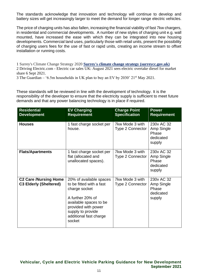The standards acknowledge that innovation and technology will continue to develop and battery sizes will get increasingly larger to meet the demand for longer range electric vehicles.

The price of charging units has also fallen, increasing the financial viability of fast 7kw chargers, in residential and commercial developments. A number of new styles of charging unit e.g. wall mounted, have increased the ease with which they can be integrated into new housing developments. Commercial land uses, particularly those with retail units, present the possibility of charging users fees for the use of fast or rapid units, creating an income stream to offset installation or running costs.

1 Surrey's Climate Change Strategy 2020 **[Surrey's climate change strategy \(surreycc.gov.uk\)](https://www.surreycc.gov.uk/__data/assets/pdf_file/0003/225615/Surreys-Climate-Change-Strategy-2020.pdf)** 2 Driving Electric.com - Electric car sales UK: August 2021 sees electric overtake diesel for market share 6 Sept 2021.

3 The Guardian – '6.5m households in UK plan to buy an EV by 2030' 21st May 2021.

These standards will be reviewed in line with the development of technology. It is the responsibility of the developer to ensure that the electricity supply is sufficient to meet future demands and that any power balancing technology is in place if required.

| <b>Residential</b><br><b>Development</b>                      | <b>EV Charging</b><br><b>Requirement</b>                                                                                                                                                           | <b>Charge Point</b><br><b>Specification</b> | <b>Power</b><br><b>Requirement</b>                       |
|---------------------------------------------------------------|----------------------------------------------------------------------------------------------------------------------------------------------------------------------------------------------------|---------------------------------------------|----------------------------------------------------------|
| <b>Houses</b>                                                 | 1 fast charge socket per<br>house.                                                                                                                                                                 | 7kw Mode 3 with<br><b>Type 2 Connector</b>  | 230y AC 32<br>Amp Single<br>Phase<br>dedicated<br>supply |
| <b>Flats/Apartments</b>                                       | 1 fast charge socket per<br>flat (allocated and<br>unallocated spaces).                                                                                                                            | 7kw Mode 3 with<br><b>Type 2 Connector</b>  | 230v AC 32<br>Amp Single<br>Phase<br>dedicated<br>supply |
| <b>C2 Care /Nursing Home</b><br><b>C3 Elderly (Sheltered)</b> | 20% of available spaces<br>to be fitted with a fast<br>charge socket<br>A further 20% of<br>available spaces to be<br>provided with power<br>supply to provide<br>additional fast charge<br>socket | 7kw Mode 3 with<br><b>Type 2 Connector</b>  | 230v AC 32<br>Amp Single<br>Phase<br>dedicated<br>supply |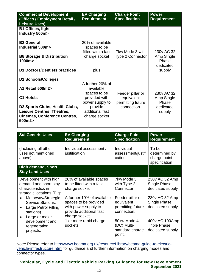| <b>Commercial Development</b><br>(Offices / Employment Retail /<br><b>Leisure Uses)</b>                       | <b>EV Charging</b><br><b>Requirement</b>                                | <b>Charge Point</b><br><b>Specification</b>         | <b>Power</b><br><b>Requirement</b> |
|---------------------------------------------------------------------------------------------------------------|-------------------------------------------------------------------------|-----------------------------------------------------|------------------------------------|
| <b>B1 Offices, light</b><br>Industry 500m>                                                                    |                                                                         |                                                     |                                    |
| <b>B2 General</b><br>Industrial 500m><br><b>B8 Storage &amp; Distribution</b>                                 | 20% of available<br>spaces to be<br>fitted with a fast<br>charge socket | 7kw Mode 3 with<br><b>Type 2 Connector</b>          | 230y AC 32<br>Amp Single           |
| 1000m><br>D1 Doctors/Dentists practices                                                                       | plus                                                                    |                                                     | Phase<br>dedicated<br>supply       |
| D1 Schools/Colleges<br>A1 Retail 500m2>                                                                       | A further 20% of<br>available                                           |                                                     |                                    |
| <b>C1 Hotels</b>                                                                                              | spaces to be<br>provided with<br>power supply to                        | Feeder pillar or<br>equivalent<br>permitting future | 230y AC 32<br>Amp Single<br>Phase  |
| D2 Sports Clubs, Health Clubs,<br>Leisure Centres, Theatres,<br><b>Cinemas, Conference Centres,</b><br>500m2> | provide<br>additional fast<br>charge socket                             | connection.                                         | dedicated<br>supply                |

| <b>Sui Generis Uses</b>                                                                                                                                                                                                                            | <b>EV Charging</b><br><b>Requirement</b>                                                                                                                                                        | <b>Charge Point</b><br><b>Specification</b>                                                                  | <b>Power</b><br><b>Requirement</b>                                                                       |
|----------------------------------------------------------------------------------------------------------------------------------------------------------------------------------------------------------------------------------------------------|-------------------------------------------------------------------------------------------------------------------------------------------------------------------------------------------------|--------------------------------------------------------------------------------------------------------------|----------------------------------------------------------------------------------------------------------|
| (Including all other<br>uses not mentioned<br>above).                                                                                                                                                                                              | Individual assessment /<br>justification                                                                                                                                                        | Individual<br>assessment/justifi<br>cation                                                                   | To be<br>determined by<br>charge point<br>specification                                                  |
| <b>High demand, Short</b><br><b>Stay Land Uses</b>                                                                                                                                                                                                 |                                                                                                                                                                                                 |                                                                                                              |                                                                                                          |
| Development with high<br>demand and short stay<br>characteristics in<br>strategic locations (E.g:<br>Motorway/Strategic<br>$\bullet$<br><b>Service Stations,</b><br>Large Petrol Filling<br>$\bullet$<br>stations).<br>Large or major<br>$\bullet$ | 20% of available spaces<br>to be fitted with a fast<br>charge socket<br>A further 10% of available<br>spaces to be provided<br>with power supply to<br>provide additional fast<br>charge socket | 7kw Mode 3<br>with Type 2<br>Connector<br>Feeder pillar or<br>equivalent<br>permitting future<br>connection. | 230v AC 32 Amp<br>Single Phase<br>dedicated supply<br>230v AC 32 Amp<br>Single Phase<br>dedicated supply |
| development and<br>regeneration<br>projects.                                                                                                                                                                                                       | 1 or more rapid charge<br>sockets                                                                                                                                                               | 50kw Mode 4<br>(DC) Multi-<br>standard charge<br>point.                                                      | 400v AC 100Amp<br><b>Triple Phase</b><br>dedicated supply                                                |

Note: Please refer to [http://www.beama.org.uk/resourceLibrary/beama-guide-to-electric](http://www.beama.org.uk/resourceLibrary/beama-guide-to-electric-vehicle-infrastructure.html)[vehicle-infrastructure.html](http://www.beama.org.uk/resourceLibrary/beama-guide-to-electric-vehicle-infrastructure.html) for guidance and further information on charging modes and connector types.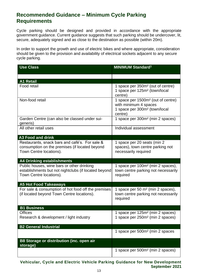## **Recommended Guidance – Minimum Cycle Parking Requirements**

Cycle parking should be designed and provided in accordance with the appropriate government guidance. Current guidance suggests that such parking should be undercover, lit, secure, adequately signed and as close to the destination as possible (within 20m).

In order to support the growth and use of electric bikes and where appropriate, consideration should be given to the provision and availability of electrical sockets adjacent to any secure cycle parking.

| <b>Use Class</b>                                                                                                              | <b>MINIMUM Standard<sup>1</sup></b>                                                                                             |
|-------------------------------------------------------------------------------------------------------------------------------|---------------------------------------------------------------------------------------------------------------------------------|
|                                                                                                                               |                                                                                                                                 |
| <b>A1 Retail</b>                                                                                                              |                                                                                                                                 |
| Food retail                                                                                                                   | 1 space per 350m <sup>2</sup> (out of centre)<br>1 space per 125m <sup>2</sup> (town/local<br>centre)                           |
| Non-food retail                                                                                                               | 1 space per 1500m <sup>2</sup> (out of centre)<br>with minimum 4 spaces<br>1 space per 300m <sup>2</sup> (town/local<br>centre) |
| Garden Centre (can also be classed under sui-<br>generis)                                                                     | 1 space per 300m <sup>2</sup> (min 2 spaces)                                                                                    |
| All other retail uses                                                                                                         | Individual assessment                                                                                                           |
| <b>A3 Food and drink</b>                                                                                                      |                                                                                                                                 |
| Restaurants, snack bars and café's. For sale &<br>consumption on the premises (if located beyond<br>Town Centre locations).   | 1 space per 20 seats (min 2<br>spaces), town centre parking not<br>necessarily required                                         |
| <b>A4 Drinking establishments</b>                                                                                             |                                                                                                                                 |
| Public houses, wine bars or other drinking<br>establishments but not nightclubs (if located beyond<br>Town Centre locations). | 1 space per 100m <sup>2</sup> (min 2 spaces),<br>town centre parking not necessarily<br>required                                |
| <b>A5 Hot Food Takeaways</b>                                                                                                  |                                                                                                                                 |
| For sale & consumption of hot food off the premises<br>(if located beyond Town Centre locations).                             | 1 space per 50 m <sup>2</sup> (min 2 spaces),<br>town centre parking not necessarily<br>required                                |
| <b>B1 Business</b>                                                                                                            |                                                                                                                                 |
| Offices<br>Research & development / light industry                                                                            | 1 space per 125m <sup>2</sup> (min 2 spaces)<br>1 space per 250m <sup>2</sup> (min 2 spaces)                                    |
| <b>B2 General Industrial</b>                                                                                                  |                                                                                                                                 |
|                                                                                                                               | 1 space per 500m <sup>2</sup> (min 2 spaces                                                                                     |
| B8 Storage or distribution (inc. open air<br>storage)                                                                         |                                                                                                                                 |
|                                                                                                                               | 1 space per 500m <sup>2</sup> (min 2 spaces)                                                                                    |